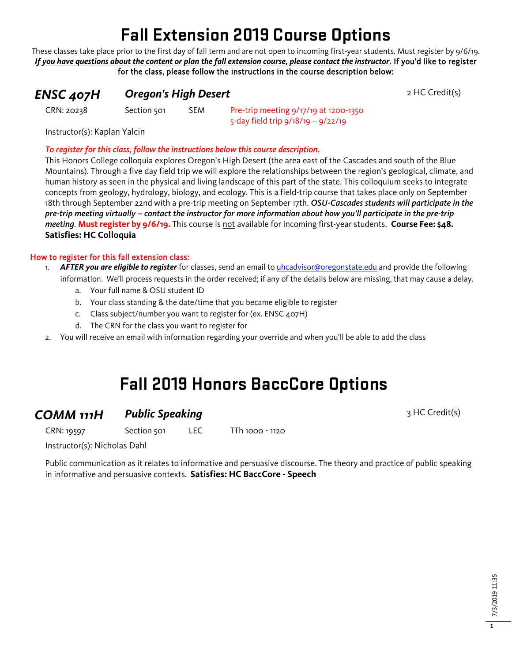# **Fall Extension 2019 Course Options**

These classes take place prior to the first day of fall term and are not open to incoming first-year students. Must register by 9/6/19. *If you have questions about the content or plan the fall extension course, please contact the instructor*. If you'd like to register for the class, please follow the instructions in the course description below:

### **ENSC 407H Oregon's High Desert** 2 HC Credit(s)

CRN: 20238 Section 501 SEM Pre-trip meeting 9/17/19 at 1200-1350 5-day field trip 9/18/19 – 9/22/19

Instructor(s): Kaplan Yalcin

#### *To register for this class, follow the instructions below this course description.*

This Honors College colloquia explores Oregon's High Desert (the area east of the Cascades and south of the Blue Mountains). Through a five day field trip we will explore the relationships between the region's geological, climate, and human history as seen in the physical and living landscape of this part of the state. This colloquium seeks to integrate concepts from geology, hydrology, biology, and ecology. This is a field-trip course that takes place only on September 18th through September 22nd with a pre-trip meeting on September 17th. *OSU-Cascades students will participate in the pre-trip meeting virtually – contact the instructor for more information about how you'll participate in the pre-trip meeting*. **Must register by 9/6/19.** This course is not available for incoming first-year students. **Course Fee: \$48. Satisfies: HC Colloquia**

#### How to register for this fall extension class:

- 1. *AFTER you are eligible to register* for classes, send an email to [uhcadvisor@oregonstate.edu](mailto:uhcadvisor@oregonstate.edu) and provide the following information. We'll process requests in the order received; if any of the details below are missing, that may cause a delay.
	- a. Your full name & OSU student ID
	- b. Your class standing & the date/time that you became eligible to register
	- c. Class subject/number you want to register for (ex. ENSC 407H)
	- d. The CRN for the class you want to register for
- 2. You will receive an email with information regarding your override and when you'll be able to add the class

# **Fall 2019 Honors BaccCore Options**

### **COMM 111H Public Speaking COMM 111H Public Speaking**

CRN: 19597 Section 501 LEC TTh 1000 - 1120

Instructor(s): Nicholas Dahl

Public communication as it relates to informative and persuasive discourse. The theory and practice of public speaking in informative and persuasive contexts. **Satisfies: HC BaccCore - Speech**

**1**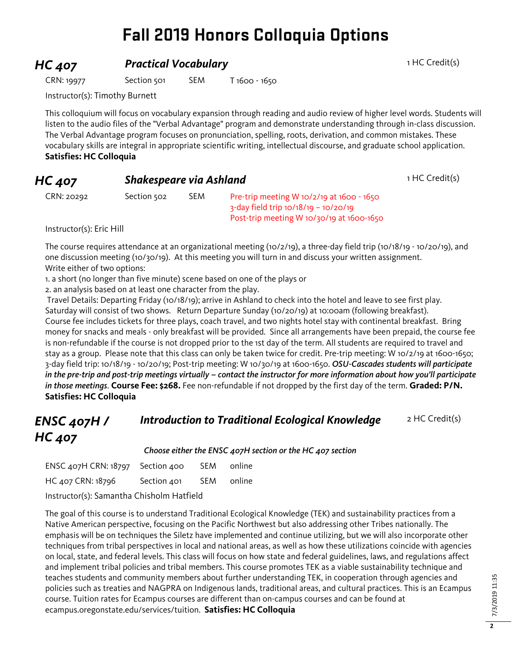## **Fall 2019 Honors Colloquia Options**

## **HC 407 Practical Vocabulary Practical Vocabulary 1 HC Credit(s)**

CRN: 19977 Section 501 SEM T 1600 - 1650

Instructor(s): Timothy Burnett

This colloquium will focus on vocabulary expansion through reading and audio review of higher level words. Students will listen to the audio files of the "Verbal Advantage" program and demonstrate understanding through in-class discussion. The Verbal Advantage program focuses on pronunciation, spelling, roots, derivation, and common mistakes. These vocabulary skills are integral in appropriate scientific writing, intellectual discourse, and graduate school application. **Satisfies: HC Colloquia**

| HC 407     | Shakespeare via Ashland |      |                                                                                                                                         | 1 HC Credit(s) |
|------------|-------------------------|------|-----------------------------------------------------------------------------------------------------------------------------------------|----------------|
| CRN: 20292 | Section 502             | SEM. | Pre-trip meeting W $10/2/19$ at $1600 - 1650$<br>$3$ -day field trip $10/18/19 - 10/20/19$<br>Post-trip meeting W 10/30/19 at 1600-1650 |                |

Instructor(s): Eric Hill

The course requires attendance at an organizational meeting (10/2/19), a three-day field trip (10/18/19 - 10/20/19), and one discussion meeting (10/30/19). At this meeting you will turn in and discuss your written assignment. Write either of two options:

1. a short (no longer than five minute) scene based on one of the plays or

2. an analysis based on at least one character from the play.

Travel Details: Departing Friday (10/18/19); arrive in Ashland to check into the hotel and leave to see first play. Saturday will consist of two shows. Return Departure Sunday (10/20/19) at 10:00am (following breakfast). Course fee includes tickets for three plays, coach travel, and two nights hotel stay with continental breakfast. Bring money for snacks and meals - only breakfast will be provided. Since all arrangements have been prepaid, the course fee is non-refundable if the course is not dropped prior to the 1st day of the term. All students are required to travel and stay as a group. Please note that this class can only be taken twice for credit. Pre-trip meeting: W 10/2/19 at 1600-1650; 3-day field trip: 10/18/19 - 10/20/19; Post-trip meeting: W 10/30/19 at 1600-1650. *OSU-Cascades students will participate in the pre-trip and post-trip meetings virtually – contact the instructor for more information about how you'll participate in those meetings*. **Course Fee: \$268.** Fee non-refundable if not dropped by the first day of the term. **Graded: P/N. Satisfies: HC Colloquia**

#### *ENSC 407H / HC 407 Introduction to Traditional Ecological Knowledge* 2 HC Credit(s)

*Choose either the ENSC 407H section or the HC 407 section*

| ENSC 407H CRN: 18797 Section 400          |             | <b>SEM</b> | online |  |  |  |
|-------------------------------------------|-------------|------------|--------|--|--|--|
| HC 407 CRN: 18796                         | Section 401 | <b>SFM</b> | online |  |  |  |
| Instructor(s): Samantha Chisholm Hatfield |             |            |        |  |  |  |

The goal of this course is to understand Traditional Ecological Knowledge (TEK) and sustainability practices from a Native American perspective, focusing on the Pacific Northwest but also addressing other Tribes nationally. The emphasis will be on techniques the Siletz have implemented and continue utilizing, but we will also incorporate other techniques from tribal perspectives in local and national areas, as well as how these utilizations coincide with agencies on local, state, and federal levels. This class will focus on how state and federal guidelines, laws, and regulations affect and implement tribal policies and tribal members. This course promotes TEK as a viable sustainability technique and teaches students and community members about further understanding TEK, in cooperation through agencies and policies such as treaties and NAGPRA on Indigenous lands, traditional areas, and cultural practices. This is an Ecampus course. Tuition rates for Ecampus courses are different than on-campus courses and can be found at ecampus.oregonstate.edu/services/tuition. **Satisfies: HC Colloquia**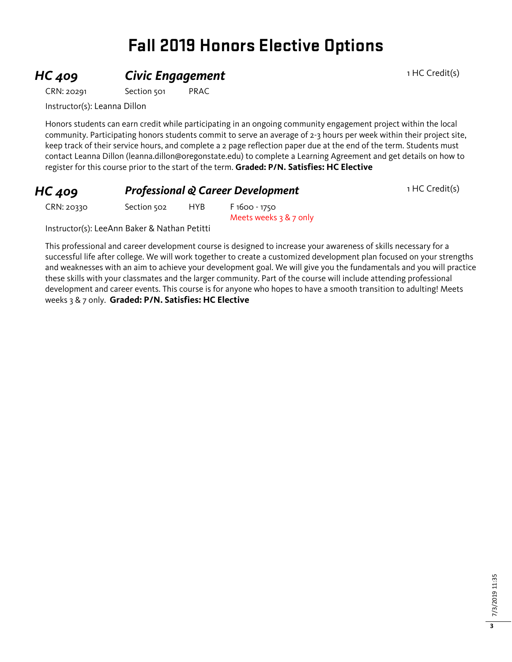# **Fall 2019 Honors Elective Options**

**HC 409 Civic Engagement** 1 HC Credit(s)

CRN: 20291 Section 501 PRAC

Instructor(s): Leanna Dillon

Honors students can earn credit while participating in an ongoing community engagement project within the local community. Participating honors students commit to serve an average of 2-3 hours per week within their project site, keep track of their service hours, and complete a 2 page reflection paper due at the end of the term. Students must contact Leanna Dillon (leanna.dillon@oregonstate.edu) to complete a Learning Agreement and get details on how to register for this course prior to the start of the term. **Graded: P/N. Satisfies: HC Elective**

| <b>HC 409</b> | <b>Professional &amp; Career Development</b> | 1 HC Credit(s) |
|---------------|----------------------------------------------|----------------|
|---------------|----------------------------------------------|----------------|

CRN: 20330 Section 502 HYB F 1600 - 1750

Meets weeks 3 & 7 only

Instructor(s): LeeAnn Baker & Nathan Petitti

This professional and career development course is designed to increase your awareness of skills necessary for a successful life after college. We will work together to create a customized development plan focused on your strengths and weaknesses with an aim to achieve your development goal. We will give you the fundamentals and you will practice these skills with your classmates and the larger community. Part of the course will include attending professional development and career events. This course is for anyone who hopes to have a smooth transition to adulting! Meets weeks 3 & 7 only. **Graded: P/N. Satisfies: HC Elective**